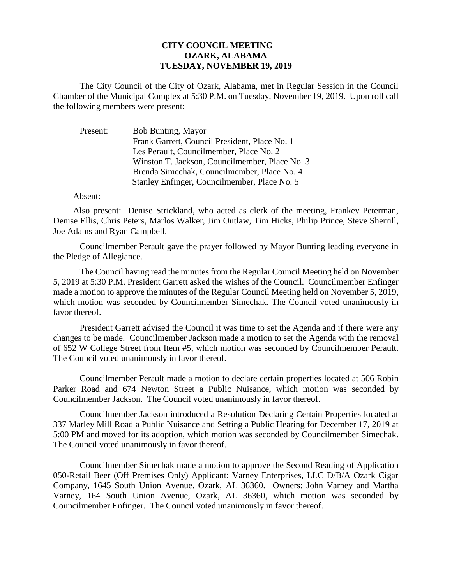## **CITY COUNCIL MEETING OZARK, ALABAMA TUESDAY, NOVEMBER 19, 2019**

The City Council of the City of Ozark, Alabama, met in Regular Session in the Council Chamber of the Municipal Complex at 5:30 P.M. on Tuesday, November 19, 2019. Upon roll call the following members were present:

| Present: | <b>Bob Bunting, Mayor</b>                      |
|----------|------------------------------------------------|
|          | Frank Garrett, Council President, Place No. 1  |
|          | Les Perault, Councilmember, Place No. 2        |
|          | Winston T. Jackson, Councilmember, Place No. 3 |
|          | Brenda Simechak, Councilmember, Place No. 4    |
|          | Stanley Enfinger, Councilmember, Place No. 5   |

## Absent:

Also present: Denise Strickland, who acted as clerk of the meeting, Frankey Peterman, Denise Ellis, Chris Peters, Marlos Walker, Jim Outlaw, Tim Hicks, Philip Prince, Steve Sherrill, Joe Adams and Ryan Campbell.

Councilmember Perault gave the prayer followed by Mayor Bunting leading everyone in the Pledge of Allegiance.

The Council having read the minutes from the Regular Council Meeting held on November 5, 2019 at 5:30 P.M. President Garrett asked the wishes of the Council. Councilmember Enfinger made a motion to approve the minutes of the Regular Council Meeting held on November 5, 2019, which motion was seconded by Councilmember Simechak. The Council voted unanimously in favor thereof.

President Garrett advised the Council it was time to set the Agenda and if there were any changes to be made. Councilmember Jackson made a motion to set the Agenda with the removal of 652 W College Street from Item #5, which motion was seconded by Councilmember Perault. The Council voted unanimously in favor thereof.

Councilmember Perault made a motion to declare certain properties located at 506 Robin Parker Road and 674 Newton Street a Public Nuisance, which motion was seconded by Councilmember Jackson. The Council voted unanimously in favor thereof.

Councilmember Jackson introduced a Resolution Declaring Certain Properties located at 337 Marley Mill Road a Public Nuisance and Setting a Public Hearing for December 17, 2019 at 5:00 PM and moved for its adoption, which motion was seconded by Councilmember Simechak. The Council voted unanimously in favor thereof.

Councilmember Simechak made a motion to approve the Second Reading of Application 050-Retail Beer (Off Premises Only) Applicant: Varney Enterprises, LLC D/B/A Ozark Cigar Company, 1645 South Union Avenue. Ozark, AL 36360. Owners: John Varney and Martha Varney, 164 South Union Avenue, Ozark, AL 36360, which motion was seconded by Councilmember Enfinger. The Council voted unanimously in favor thereof.